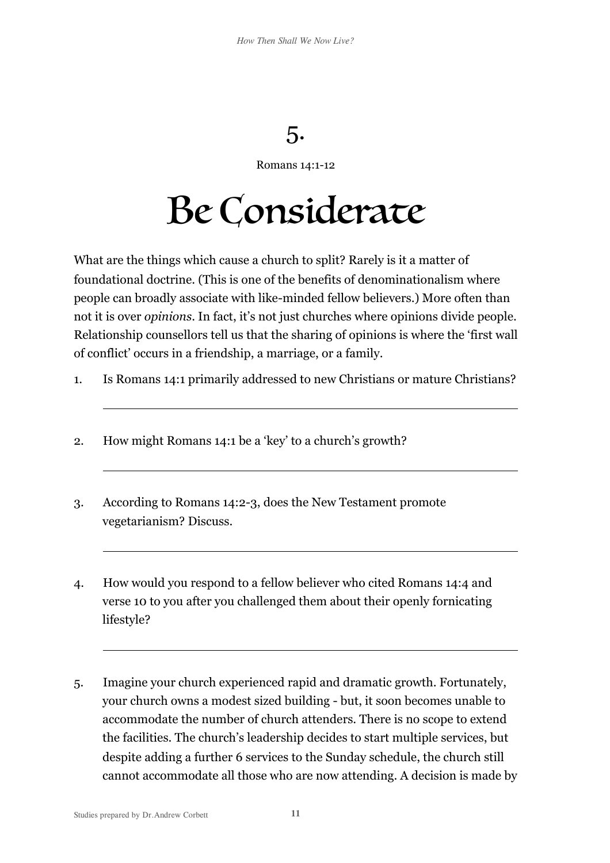## 5.

Romans 14:1-12

## Be Considerate

What are the things which cause a church to split? Rarely is it a matter of foundational doctrine. (This is one of the benefits of denominationalism where people can broadly associate with like-minded fellow believers.) More often than not it is over *opinions*. In fact, it's not just churches where opinions divide people. Relationship counsellors tell us that the sharing of opinions is where the 'first wall of conflict' occurs in a friendship, a marriage, or a family.

- 1. Is Romans 14:1 primarily addressed to new Christians or mature Christians?
- 2. How might Romans 14:1 be a 'key' to a church's growth?
- 3. According to Romans 14:2-3, does the New Testament promote vegetarianism? Discuss.
- 4. How would you respond to a fellow believer who cited Romans 14:4 and verse 10 to you after you challenged them about their openly fornicating lifestyle?
- 5. Imagine your church experienced rapid and dramatic growth. Fortunately, your church owns a modest sized building - but, it soon becomes unable to accommodate the number of church attenders. There is no scope to extend the facilities. The church's leadership decides to start multiple services, but despite adding a further 6 services to the Sunday schedule, the church still cannot accommodate all those who are now attending. A decision is made by

 $\overline{a}$ 

 $\overline{a}$ 

 $\overline{a}$ 

 $\overline{a}$